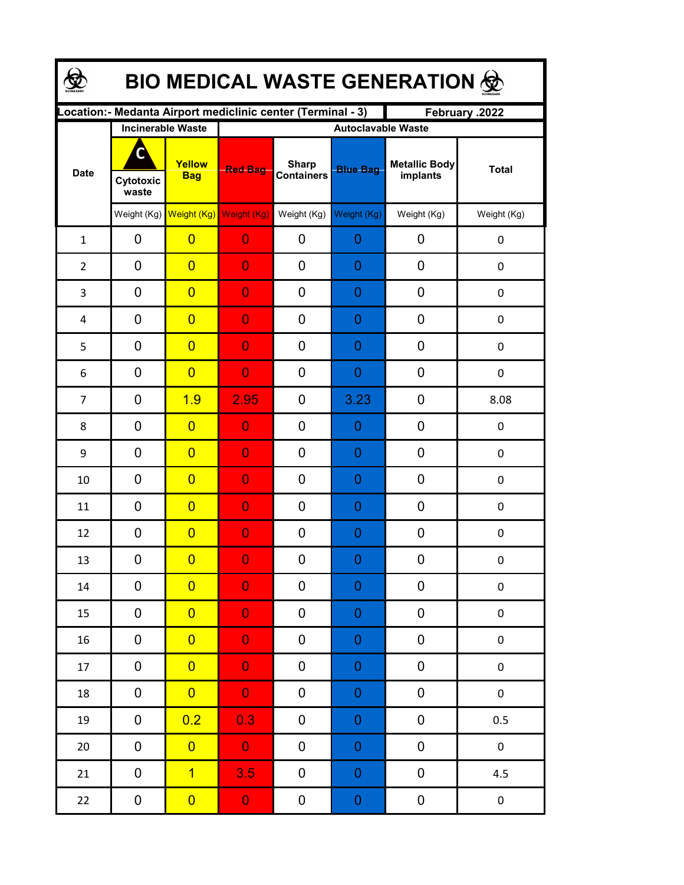| <b>BIO MEDICAL WASTE GENERATION ©</b> |                                                     |                         |                  |                                                              |                                              |                                  |              |  |  |  |
|---------------------------------------|-----------------------------------------------------|-------------------------|------------------|--------------------------------------------------------------|----------------------------------------------|----------------------------------|--------------|--|--|--|
|                                       |                                                     |                         |                  | Location: - Medanta Airport mediclinic center (Terminal - 3) |                                              | February .2022                   |              |  |  |  |
| <b>Date</b>                           | <b>Incinerable Waste</b><br>C<br>Cytotoxic<br>waste | Yellow<br><b>Bag</b>    | <b>Red Bag</b>   | <b>Sharp</b><br><b>Containers</b>                            | <b>Autoclavable Waste</b><br><b>Blue Bag</b> | <b>Metallic Body</b><br>implants | <b>Total</b> |  |  |  |
|                                       |                                                     | Weight (Kg) Weight (Kg) | Weight (Kg)      | Weight (Kg)                                                  | Weight (Kg)                                  | Weight (Kg)                      | Weight (Kg)  |  |  |  |
| $\mathbf{1}$                          | 0                                                   | $\overline{0}$          | $\overline{0}$   | 0                                                            | 0                                            | 0                                | 0            |  |  |  |
| $\overline{2}$                        | 0                                                   | $\overline{0}$          | $\overline{0}$   | 0                                                            | 0                                            | 0                                | 0            |  |  |  |
| 3                                     | 0                                                   | $\overline{0}$          | $\overline{0}$   | 0                                                            | 0                                            | 0                                | 0            |  |  |  |
| 4                                     | 0                                                   | $\overline{0}$          | $\overline{0}$   | 0                                                            | 0                                            | 0                                | 0            |  |  |  |
| 5                                     | $\mathbf 0$                                         | $\overline{0}$          | $\overline{0}$   | 0                                                            | 0                                            | 0                                | $\mathbf 0$  |  |  |  |
| 6                                     | $\mathbf 0$                                         | $\overline{0}$          | $\overline{0}$   | 0                                                            | 0                                            | 0                                | $\mathbf 0$  |  |  |  |
| $\overline{7}$                        | $\mathbf 0$                                         | 1.9                     | 2.95             | 0                                                            | 3.23                                         | 0                                | 8.08         |  |  |  |
| 8                                     | $\mathbf 0$                                         | $\overline{0}$          | $\overline{0}$   | 0                                                            | 0                                            | 0                                | 0            |  |  |  |
| 9                                     | $\mathbf 0$                                         | $\overline{0}$          | $\overline{0}$   | 0                                                            | 0                                            | 0                                | 0            |  |  |  |
| 10                                    | 0                                                   | $\overline{0}$          | $\overline{0}$   | 0                                                            | 0                                            | 0                                | 0            |  |  |  |
| 11                                    | $\mathbf 0$                                         | $\overline{0}$          | 0                | 0                                                            | 0                                            | 0                                | 0            |  |  |  |
| 12                                    | 0                                                   | $\overline{0}$          | $\overline{0}$   | 0                                                            | 0                                            | 0                                | $\pmb{0}$    |  |  |  |
| 13                                    | 0                                                   | $\overline{0}$          | $\boldsymbol{0}$ | $\boldsymbol{0}$                                             | $\Omega$                                     | $\boldsymbol{0}$                 | 0            |  |  |  |
| 14                                    | 0                                                   | $\overline{0}$          | $\overline{0}$   | 0                                                            | $\boldsymbol{0}$                             | $\boldsymbol{0}$                 | $\pmb{0}$    |  |  |  |
| 15                                    | 0                                                   | $\overline{0}$          | $\overline{0}$   | 0                                                            | 0                                            | 0                                | $\pmb{0}$    |  |  |  |
| 16                                    | 0                                                   | $\overline{0}$          | $\overline{0}$   | 0                                                            | 0                                            | $\pmb{0}$                        | $\pmb{0}$    |  |  |  |
| 17                                    | 0                                                   | $\overline{0}$          | $\overline{0}$   | 0                                                            | 0                                            | $\pmb{0}$                        | $\pmb{0}$    |  |  |  |
| 18                                    | $\boldsymbol{0}$                                    | $\overline{0}$          | $\overline{0}$   | 0                                                            | 0                                            | $\pmb{0}$                        | $\pmb{0}$    |  |  |  |
| 19                                    | $\pmb{0}$                                           | 0.2                     | 0.3              | 0                                                            | 0                                            | 0                                | 0.5          |  |  |  |
| $20\,$                                | $\pmb{0}$                                           | $\overline{0}$          | $\mathbf{0}$     | 0                                                            | 0                                            | 0                                | $\pmb{0}$    |  |  |  |
| 21                                    | 0                                                   | $\overline{1}$          | 3.5              | 0                                                            | 0                                            | 0                                | 4.5          |  |  |  |
| 22                                    | $\boldsymbol{0}$                                    | $\overline{0}$          | $\mathbf{O}$     | $\boldsymbol{0}$                                             | $\boldsymbol{0}$                             | $\boldsymbol{0}$                 | $\pmb{0}$    |  |  |  |